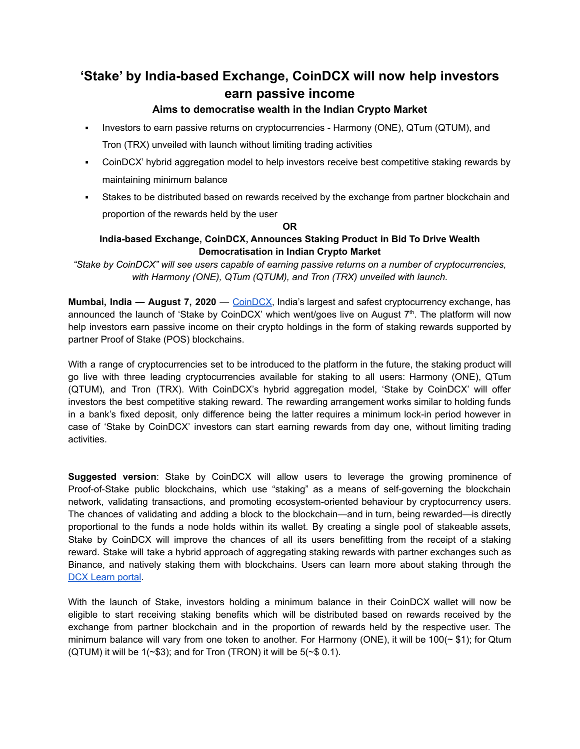# **'Stake' by India-based Exchange, CoinDCX will now help investors earn passive income**

## **Aims to democratise wealth in the Indian Crypto Market**

- Investors to earn passive returns on cryptocurrencies Harmony (ONE), QTum (QTUM), and Tron (TRX) unveiled with launch without limiting trading activities
- CoinDCX' hybrid aggregation model to help investors receive best competitive staking rewards by maintaining minimum balance
- Stakes to be distributed based on rewards received by the exchange from partner blockchain and proportion of the rewards held by the user

### **OR**

## **India-based Exchange, CoinDCX, Announces Staking Product in Bid To Drive Wealth Democratisation in Indian Crypto Market**

*"Stake by CoinDCX" will see users capable of earning passive returns on a number of cryptocurrencies, with Harmony (ONE), QTum (QTUM), and Tron (TRX) unveiled with launch.*

**Mumbai, India — August 7, 2020** — [CoinDCX](https://coindcx.com/), India's largest and safest cryptocurrency exchange, has announced the launch of 'Stake by CoinDCX' which went/goes live on August  $7<sup>th</sup>$ . The platform will now help investors earn passive income on their crypto holdings in the form of staking rewards supported by partner Proof of Stake (POS) blockchains.

With a range of cryptocurrencies set to be introduced to the platform in the future, the staking product will go live with three leading cryptocurrencies available for staking to all users: Harmony (ONE), QTum (QTUM), and Tron (TRX). With CoinDCX's hybrid aggregation model, 'Stake by CoinDCX' will offer investors the best competitive staking reward. The rewarding arrangement works similar to holding funds in a bank's fixed deposit, only difference being the latter requires a minimum lock-in period however in case of 'Stake by CoinDCX' investors can start earning rewards from day one, without limiting trading activities.

**Suggested version**: Stake by CoinDCX will allow users to leverage the growing prominence of Proof-of-Stake public blockchains, which use "staking" as a means of self-governing the blockchain network, validating transactions, and promoting ecosystem-oriented behaviour by cryptocurrency users. The chances of validating and adding a block to the blockchain—and in turn, being rewarded—is directly proportional to the funds a node holds within its wallet. By creating a single pool of stakeable assets, Stake by CoinDCX will improve the chances of all its users benefitting from the receipt of a staking reward. Stake will take a hybrid approach of aggregating staking rewards with partner exchanges such as Binance, and natively staking them with blockchains. Users can learn more about staking through the DCX [Learn](https://dcxlearn.com/economics/what-is-staking/) portal.

With the launch of Stake, investors holding a minimum balance in their CoinDCX wallet will now be eligible to start receiving staking benefits which will be distributed based on rewards received by the exchange from partner blockchain and in the proportion of rewards held by the respective user. The minimum balance will vary from one token to another. For Harmony (ONE), it will be  $100(~\textdegree~$1);$  for Qtum (QTUM) it will be  $1(-\$3)$ ; and for Tron (TRON) it will be  $5(-\$0.1)$ .